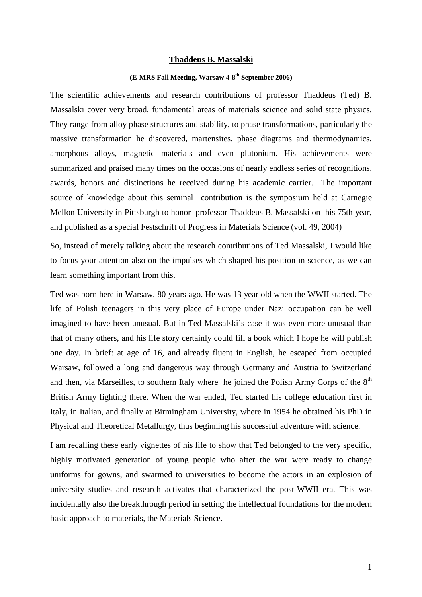## **Thaddeus B. Massalski**

## **(E-MRS Fall Meeting, Warsaw 4-8th September 2006)**

The scientific achievements and research contributions of professor Thaddeus (Ted) B. Massalski cover very broad, fundamental areas of materials science and solid state physics. They range from alloy phase structures and stability, to phase transformations, particularly the massive transformation he discovered, martensites, phase diagrams and thermodynamics, amorphous alloys, magnetic materials and even plutonium. His achievements were summarized and praised many times on the occasions of nearly endless series of recognitions, awards, honors and distinctions he received during his academic carrier. The important source of knowledge about this seminal contribution is the symposium held at Carnegie Mellon University in Pittsburgh to honor professor Thaddeus B. Massalski on his 75th year, and published as a special Festschrift of Progress in Materials Science (vol. 49, 2004)

So, instead of merely talking about the research contributions of Ted Massalski, I would like to focus your attention also on the impulses which shaped his position in science, as we can learn something important from this.

Ted was born here in Warsaw, 80 years ago. He was 13 year old when the WWII started. The life of Polish teenagers in this very place of Europe under Nazi occupation can be well imagined to have been unusual. But in Ted Massalski's case it was even more unusual than that of many others, and his life story certainly could fill a book which I hope he will publish one day. In brief: at age of 16, and already fluent in English, he escaped from occupied Warsaw, followed a long and dangerous way through Germany and Austria to Switzerland and then, via Marseilles, to southern Italy where he joined the Polish Army Corps of the  $8<sup>th</sup>$ British Army fighting there. When the war ended, Ted started his college education first in Italy, in Italian, and finally at Birmingham University, where in 1954 he obtained his PhD in Physical and Theoretical Metallurgy, thus beginning his successful adventure with science.

I am recalling these early vignettes of his life to show that Ted belonged to the very specific, highly motivated generation of young people who after the war were ready to change uniforms for gowns, and swarmed to universities to become the actors in an explosion of university studies and research activates that characterized the post-WWII era. This was incidentally also the breakthrough period in setting the intellectual foundations for the modern basic approach to materials, the Materials Science.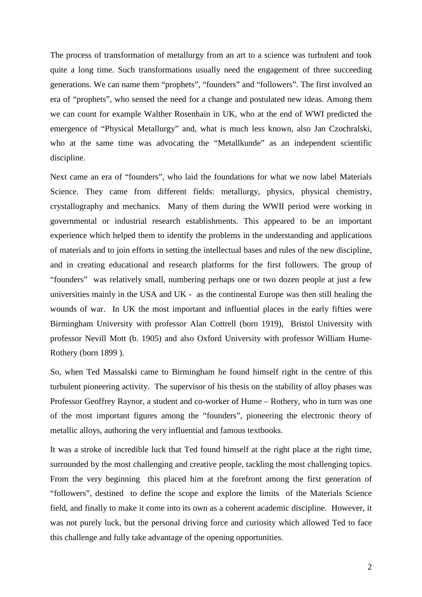The process of transformation of metallurgy from an art to a science was turbulent and took quite a long time. Such transformations usually need the engagement of three succeeding generations. We can name them "prophets", "founders" and "followers". The first involved an era of "prophets", who sensed the need for a change and postulated new ideas. Among them we can count for example Walther Rosenhain in UK, who at the end of WWI predicted the emergence of "Physical Metallurgy" and, what is much less known, also Jan Czochralski, who at the same time was advocating the "Metallkunde" as an independent scientific discipline.

Next came an era of "founders", who laid the foundations for what we now label Materials Science. They came from different fields: metallurgy, physics, physical chemistry, crystallography and mechanics. Many of them during the WWII period were working in governmental or industrial research establishments. This appeared to be an important experience which helped them to identify the problems in the understanding and applications of materials and to join efforts in setting the intellectual bases and rules of the new discipline, and in creating educational and research platforms for the first followers. The group of "founders" was relatively small, numbering perhaps one or two dozen people at just a few universities mainly in the USA and UK - as the continental Europe was then still healing the wounds of war. In UK the most important and influential places in the early fifties were Birmingham University with professor Alan Cottrell (born 1919), Bristol University with professor Nevill Mott (b. 1905) and also Oxford University with professor William Hume-Rothery (born 1899 ).

So, when Ted Massalski came to Birmingham he found himself right in the centre of this turbulent pioneering activity. The supervisor of his thesis on the stability of alloy phases was Professor Geoffrey Raynor, a student and co-worker of Hume – Rothery, who in turn was one of the most important figures among the "founders", pioneering the electronic theory of metallic alloys, authoring the very influential and famous textbooks.

It was a stroke of incredible luck that Ted found himself at the right place at the right time, surrounded by the most challenging and creative people, tackling the most challenging topics. From the very beginning this placed him at the forefront among the first generation of "followers", destined to define the scope and explore the limits of the Materials Science field, and finally to make it come into its own as a coherent academic discipline. However, it was not purely luck, but the personal driving force and curiosity which allowed Ted to face this challenge and fully take advantage of the opening opportunities.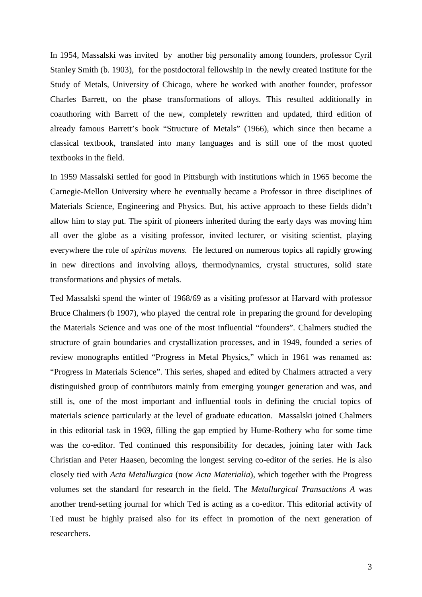In 1954, Massalski was invited by another big personality among founders, professor Cyril Stanley Smith (b. 1903), for the postdoctoral fellowship in the newly created Institute for the Study of Metals, University of Chicago, where he worked with another founder, professor Charles Barrett, on the phase transformations of alloys. This resulted additionally in coauthoring with Barrett of the new, completely rewritten and updated, third edition of already famous Barrett's book "Structure of Metals" (1966), which since then became a classical textbook, translated into many languages and is still one of the most quoted textbooks in the field.

In 1959 Massalski settled for good in Pittsburgh with institutions which in 1965 become the Carnegie-Mellon University where he eventually became a Professor in three disciplines of Materials Science, Engineering and Physics. But, his active approach to these fields didn't allow him to stay put. The spirit of pioneers inherited during the early days was moving him all over the globe as a visiting professor, invited lecturer, or visiting scientist, playing everywhere the role of *spiritus movens.* He lectured on numerous topics all rapidly growing in new directions and involving alloys, thermodynamics, crystal structures, solid state transformations and physics of metals.

Ted Massalski spend the winter of 1968/69 as a visiting professor at Harvard with professor Bruce Chalmers (b 1907), who played the central role in preparing the ground for developing the Materials Science and was one of the most influential "founders". Chalmers studied the structure of grain boundaries and crystallization processes, and in 1949, founded a series of review monographs entitled "Progress in Metal Physics," which in 1961 was renamed as: "Progress in Materials Science". This series, shaped and edited by Chalmers attracted a very distinguished group of contributors mainly from emerging younger generation and was, and still is, one of the most important and influential tools in defining the crucial topics of materials science particularly at the level of graduate education. Massalski joined Chalmers in this editorial task in 1969, filling the gap emptied by Hume-Rothery who for some time was the co-editor. Ted continued this responsibility for decades, joining later with Jack Christian and Peter Haasen, becoming the longest serving co-editor of the series. He is also closely tied with *Acta Metallurgica* (now *Acta Materialia*), which together with the Progress volumes set the standard for research in the field. The *Metallurgical Transactions A* was another trend-setting journal for which Ted is acting as a co-editor. This editorial activity of Ted must be highly praised also for its effect in promotion of the next generation of researchers.